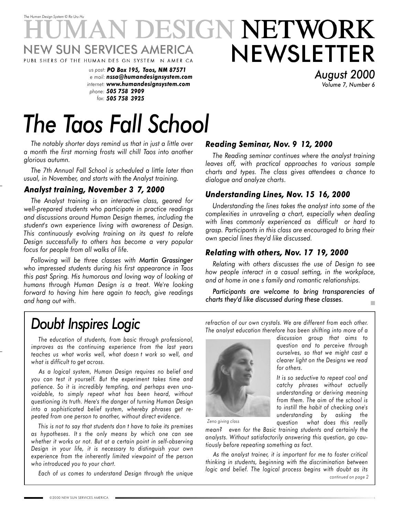# *The Human Design System* © *Ra Uru Hu* DESIGN NETWORK NEWSLETTER **JEW SUN SERVICES AMERICA** PUBL SHERS OF THE HUMAN DES GN SYSTEM NAMER CA

*us post: PO Box 195, Taos, NM 87571 e mail: nssa@humandesignsystem.com internet: www.humandesignsystem.com phone: 505 758 2909 fax: 505 758 3925*

*August 2000 Volume 7, Number 6*

# *The Taos Fall School*

*The notably shorter days remind us that in just a little over a month the first morning frosts will chill Taos into another glorious autumn.*

*The 7th Annual Fall School is scheduled a little later than usual, in November, and starts with the Analyst training.*

# *Analyst training, November 3 7, 2000*

*The Analyst training is an interactive class, geared for well-prepared students who participate in practice readings and discussions around Human Design themes, including the student's own experience living with awareness of Design. This continuously evolving training on its quest to relate Design successfully to others has become a very popular focus for people from all walks of life.*

*Following will be three classes with Martin Grassinger who impressed students during his first appearance in Taos this past Spring. His humorous and loving way of looking at humans through Human Design is a treat. We're looking forward to having him here again to teach, give readings and hang out with.*

# *Reading Seminar, Nov. 9 12, 2000*

*The Reading seminar continues where the analyst training leaves off, with practical approaches to various sample charts and types. The class gives attendees a chance to dialogue and analyze charts.*

# *Understanding Lines, Nov. 15 16, 2000*

*Understanding the lines takes the analyst into some of the complexities in unraveling a chart, especially when dealing with lines commonly experienced as difficult or hard to grasp. Participants in this class are encouraged to bring their own special lines they'd like discussed.*

# *Relating with others, Nov. 17 19, 2000*

*Relating with others discusses the use of Design to see how people interact in a casual setting, in the workplace, and at home in one s family and romantic relationships.*

*Participants are welcome to bring transparencies of charts they'd like discussed during these classes.*  $\blacksquare$ 

# *Doubt Inspires Logic*

*The education of students, from basic through professional, improves as the continuing experience from the last years teaches us what works well, what doesn t work so well, and what is difficult to get across.*

*As a logical system, Human Design requires no belief and you can test it yourself. But the experiment takes time and patience. So it is incredibly tempting, and perhaps even unavoidable, to simply repeat what has been heard, without questioning its truth. Here's the danger of turning Human Design into a sophisticated belief system, whereby phrases get repeated from one person to another, without direct evidence.*

*This is not to say that students don t have to take its premises as hypotheses. It s the only means by which one can see whether it works or not. But at a certain point in self-observing Design in your life, it is necessary to distinguish your own experience from the inherently limited viewpoint of the person who introduced you to your chart.*

*Each of us comes to understand Design through the unique*

*refraction of our own crystals. We are different from each other. The analyst education therefore has been shifting into more of a discussion group that aims to*



*clearer light on the Designs we read for others. It is so seductive to repeat cool and*

*catchy phrases without actually understanding or deriving meaning from them. The aim of the school is to instill the habit of checking one's understanding by asking the question what does this really*

*question and to perceive through ourselves, so that we might cast a*

*Zeno giving class*

*mean? even for the Basic training students and certainly the analysts. Without satisfactorily answering this question, go cautiously before repeating something as fact.*

*continued on page 2 As the analyst trainer, it is important for me to foster critical thinking in students, beginning with the discrimination between logic and belief. The logical process begins with doubt as its*